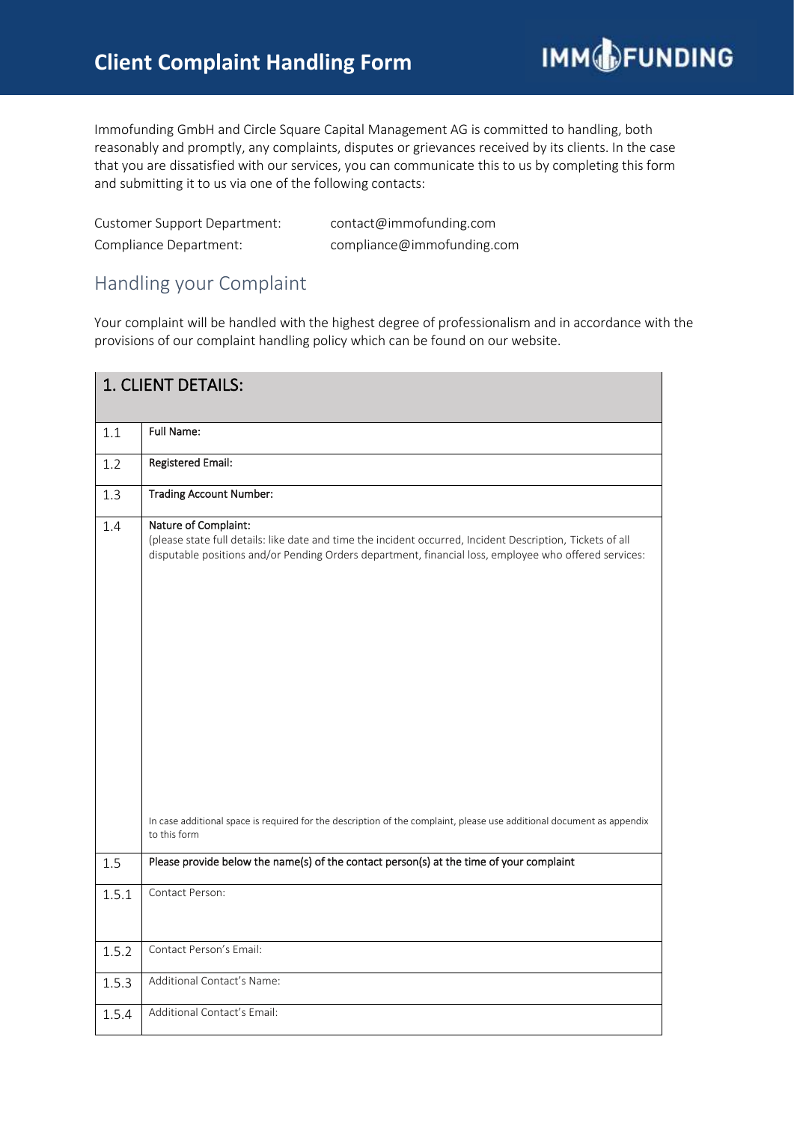## **Client Complaint Handling Form**

Immofunding GmbH and Circle Square Capital Management AG is committed to handling, both reasonably and promptly, any complaints, disputes or grievances received by its clients. In the case that you are dissatisfied with our services, you can communicate this to us by completing this form and submitting it to us via one of the following contacts:

| Customer Support Department: | contact@immofunding.com    |
|------------------------------|----------------------------|
| Compliance Department:       | compliance@immofunding.com |

## Handling your Complaint

Your complaint will be handled with the highest degree of professionalism and in accordance with the provisions of our complaint handling policy which can be found on our website.

| 1. CLIENT DETAILS: |                                                                                                                                                                                                                                                                                                                                                                      |  |
|--------------------|----------------------------------------------------------------------------------------------------------------------------------------------------------------------------------------------------------------------------------------------------------------------------------------------------------------------------------------------------------------------|--|
| 1.1                | <b>Full Name:</b>                                                                                                                                                                                                                                                                                                                                                    |  |
| 1.2                | <b>Registered Email:</b>                                                                                                                                                                                                                                                                                                                                             |  |
| 1.3                | <b>Trading Account Number:</b>                                                                                                                                                                                                                                                                                                                                       |  |
| 1.4                | Nature of Complaint:<br>(please state full details: like date and time the incident occurred, Incident Description, Tickets of all<br>disputable positions and/or Pending Orders department, financial loss, employee who offered services:<br>In case additional space is required for the description of the complaint, please use additional document as appendix |  |
|                    | to this form                                                                                                                                                                                                                                                                                                                                                         |  |
| 1.5                | Please provide below the name(s) of the contact person(s) at the time of your complaint                                                                                                                                                                                                                                                                              |  |
| 1.5.1              | Contact Person:                                                                                                                                                                                                                                                                                                                                                      |  |
| 1.5.2              | Contact Person's Email:                                                                                                                                                                                                                                                                                                                                              |  |
| 1.5.3              | Additional Contact's Name:                                                                                                                                                                                                                                                                                                                                           |  |
| 1.5.4              | Additional Contact's Email:                                                                                                                                                                                                                                                                                                                                          |  |